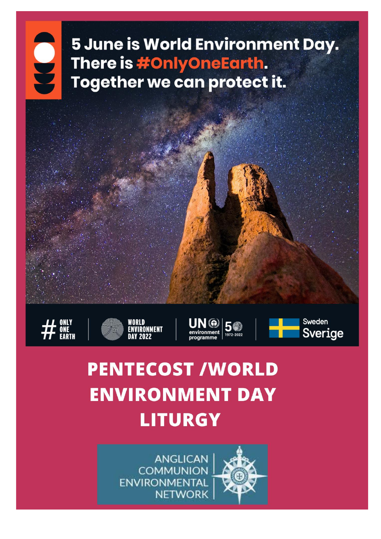## 5 June is World Environment Day. There is #OnlyOneEarth. Together we can protect it.















# **PENTECOST /WORLD ENVIRONMENT DAY LITURGY**

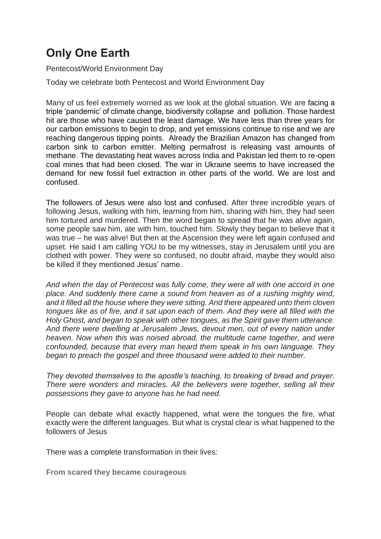### **Only One Earth**

Pentecost/World Environment Day

Today we celebrate both Pentecost and World Environment Day

Many of us feel extremely worried as we look at the global situation. We are facing a triple 'pandemic' of climate change, biodiversity collapse and pollution. Those hardest hit are those who have caused the least damage. We have less than three years for our carbon emissions to begin to drop, and yet emissions continue to rise and we are reaching dangerous tipping points. Already the Brazilian Amazon has changed from carbon sink to carbon emitter. Melting permafrost is releasing vast amounts of methane. The devastating heat waves across India and Pakistan led them to re-open coal mines that had been closed. The war in Ukraine seems to have increased the demand for new fossil fuel extraction in other parts of the world. We are lost and confused.

The followers of Jesus were also lost and confused. After three incredible years of following Jesus, walking with him, learning from him, sharing with him, they had seen him tortured and murdered. Then the word began to spread that he was alive again, some people saw him, ate with him, touched him. Slowly they began to believe that it was true – he was alive! But then at the Ascension they were left again confused and upset. He said I am calling YOU to be my witnesses, stay in Jerusalem until you are clothed with power. They were so confused, no doubt afraid, maybe they would also be killed if they mentioned Jesus' name.

*And when the day of Pentecost was fully come, they were all with one accord in one place. And suddenly there came a sound from heaven as of a rushing mighty wind, and it filled all the house where they were sitting. And there appeared unto them cloven tongues like as of fire, and it sat upon each of them. And they were all filled with the Holy Ghost, and began to speak with other tongues, as the Spirit gave them utterance. And there were dwelling at Jerusalem Jews, devout men, out of every nation under heaven. Now when this was noised abroad, the multitude came together, and were confounded, because that every man heard them speak in his own language. They began to preach the gospel and three thousand were added to their number.*

*They devoted themselves to the apostle's teaching, to breaking of bread and prayer. There were wonders and miracles. All the believers were together, selling all their possessions they gave to anyone has he had need.*

People can debate what exactly happened, what were the tongues the fire, what exactly were the different languages. But what is crystal clear is what happened to the followers of Jesus

There was a complete transformation in their lives:

**From scared they became courageous**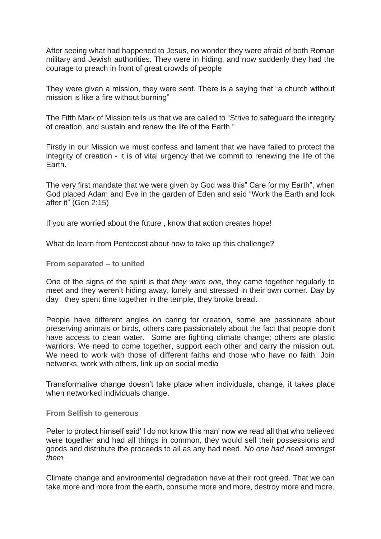After seeing what had happened to Jesus, no wonder they were afraid of both Roman military and Jewish authorities. They were in hiding, and now suddenly they had the courage to preach in front of great crowds of people

They were given a mission, they were sent. There is a saying that "a church without mission is like a fire without burning"

The Fifth Mark of Mission tells us that we are called to "Strive to safeguard the integrity of creation, and sustain and renew the life of the Earth."

Firstly in our Mission we must confess and lament that we have failed to protect the integrity of creation - it is of vital urgency that we commit to renewing the life of the Earth.

The very first mandate that we were given by God was this" Care for my Earth", when God placed Adam and Eve in the garden of Eden and said "Work the Earth and look after it" (Gen 2:15)

If you are worried about the future , know that action creates hope!

What do learn from Pentecost about how to take up this challenge?

**From separated – to united**

One of the signs of the spirit is that *they were one*, they came together regularly to meet and they weren't hiding away, lonely and stressed in their own corner. Day by day they spent time together in the temple, they broke bread.

People have different angles on caring for creation, some are passionate about preserving animals or birds, others care passionately about the fact that people don't have access to clean water. Some are fighting climate change; others are plastic warriors. We need to come together, support each other and carry the mission out. We need to work with those of different faiths and those who have no faith. Join networks, work with others, link up on social media

Transformative change doesn't take place when individuals, change, it takes place when networked individuals change.

#### **From Selfish to generous**

Peter to protect himself said' I do not know this man' now we read all that who believed were together and had all things in common, they would sell their possessions and goods and distribute the proceeds to all as any had need. *No one had need amongst them.*

Climate change and environmental degradation have at their root greed. That we can take more and more from the earth, consume more and more, destroy more and more.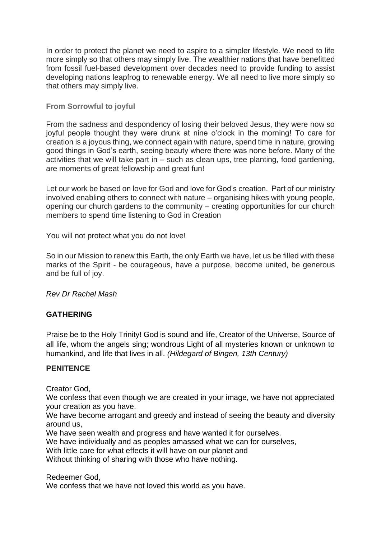In order to protect the planet we need to aspire to a simpler lifestyle. We need to life more simply so that others may simply live. The wealthier nations that have benefitted from fossil fuel-based development over decades need to provide funding to assist developing nations leapfrog to renewable energy. We all need to live more simply so that others may simply live.

#### **From Sorrowful to joyful**

From the sadness and despondency of losing their beloved Jesus, they were now so joyful people thought they were drunk at nine o'clock in the morning! To care for creation is a joyous thing, we connect again with nature, spend time in nature, growing good things in God's earth, seeing beauty where there was none before. Many of the activities that we will take part in – such as clean ups, tree planting, food gardening, are moments of great fellowship and great fun!

Let our work be based on love for God and love for God's creation. Part of our ministry involved enabling others to connect with nature – organising hikes with young people, opening our church gardens to the community – creating opportunities for our church members to spend time listening to God in Creation

You will not protect what you do not love!

So in our Mission to renew this Earth, the only Earth we have, let us be filled with these marks of the Spirit - be courageous, have a purpose, become united, be generous and be full of joy.

*Rev Dr [Rachel Mash](http://sustainable-preaching.org/people/dr-rachel-mash/)*

#### **GATHERING**

Praise be to the Holy Trinity! God is sound and life, Creator of the Universe, Source of all life, whom the angels sing; wondrous Light of all mysteries known or unknown to humankind, and life that lives in all. *(Hildegard of Bingen, 13th Century)*

#### **PENITENCE**

Creator God,

We confess that even though we are created in your image, we have not appreciated your creation as you have.

We have become arrogant and greedy and instead of seeing the beauty and diversity around us,

We have seen wealth and progress and have wanted it for ourselves.

We have individually and as peoples amassed what we can for ourselves,

With little care for what effects it will have on our planet and

Without thinking of sharing with those who have nothing.

Redeemer God,

We confess that we have not loved this world as you have.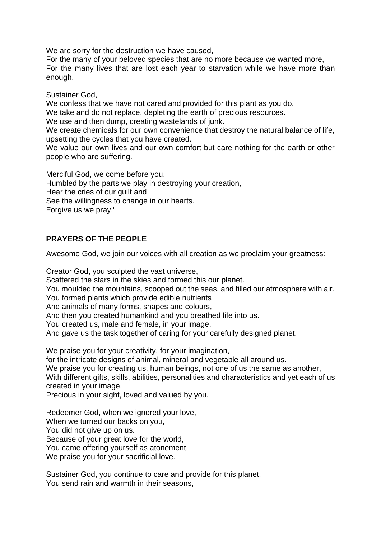We are sorry for the destruction we have caused,

For the many of your beloved species that are no more because we wanted more, For the many lives that are lost each year to starvation while we have more than enough.

Sustainer God,

We confess that we have not cared and provided for this plant as you do. We take and do not replace, depleting the earth of precious resources. We use and then dump, creating wastelands of junk.

We create chemicals for our own convenience that destroy the natural balance of life, upsetting the cycles that you have created.

We value our own lives and our own comfort but care nothing for the earth or other people who are suffering.

Merciful God, we come before you, Humbled by the parts we play in destroying your creation, Hear the cries of our guilt and See the willingness to change in our hearts. Forgive us we pray.<sup>i</sup>

#### **PRAYERS OF THE PEOPLE**

Awesome God, we join our voices with all creation as we proclaim your greatness:

Creator God, you sculpted the vast universe, Scattered the stars in the skies and formed this our planet. You moulded the mountains, scooped out the seas, and filled our atmosphere with air. You formed plants which provide edible nutrients And animals of many forms, shapes and colours, And then you created humankind and you breathed life into us. You created us, male and female, in your image, And gave us the task together of caring for your carefully designed planet.

We praise you for your creativity, for your imagination,

for the intricate designs of animal, mineral and vegetable all around us.

We praise you for creating us, human beings, not one of us the same as another, With different gifts, skills, abilities, personalities and characteristics and yet each of us created in your image.

Precious in your sight, loved and valued by you.

Redeemer God, when we ignored your love, When we turned our backs on you, You did not give up on us.

Because of your great love for the world,

You came offering yourself as atonement.

We praise you for your sacrificial love.

Sustainer God, you continue to care and provide for this planet, You send rain and warmth in their seasons,